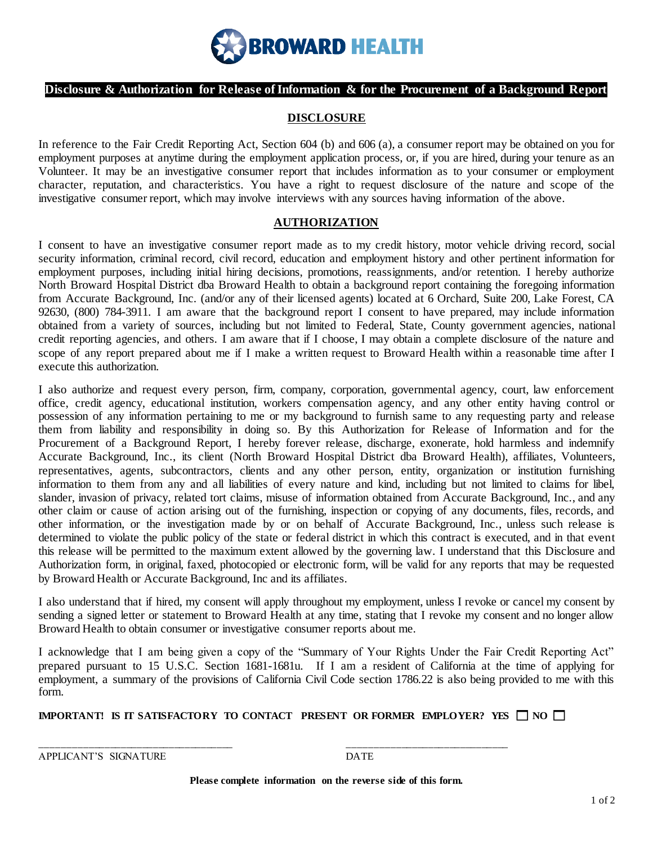

## **Disclosure & Authorization for Release of Information & for the Procurement of a Background Report**

## **DISCLOSURE**

In reference to the Fair Credit Reporting Act, Section 604 (b) and 606 (a), a consumer report may be obtained on you for employment purposes at anytime during the employment application process, or, if you are hired, during your tenure as an Volunteer. It may be an investigative consumer report that includes information as to your consumer or employment character, reputation, and characteristics. You have a right to request disclosure of the nature and scope of the investigative consumer report, which may involve interviews with any sources having information of the above.

## **AUTHORIZATION**

I consent to have an investigative consumer report made as to my credit history, motor vehicle driving record, social security information, criminal record, civil record, education and employment history and other pertinent information for employment purposes, including initial hiring decisions, promotions, reassignments, and/or retention. I hereby authorize North Broward Hospital District dba Broward Health to obtain a background report containing the foregoing information from Accurate Background, Inc. (and/or any of their licensed agents) located at 6 Orchard, Suite 200, Lake Forest, CA 92630, (800) 784-3911. I am aware that the background report I consent to have prepared, may include information obtained from a variety of sources, including but not limited to Federal, State, County government agencies, national credit reporting agencies, and others. I am aware that if I choose, I may obtain a complete disclosure of the nature and scope of any report prepared about me if I make a written request to Broward Health within a reasonable time after I execute this authorization.

I also authorize and request every person, firm, company, corporation, governmental agency, court, law enforcement office, credit agency, educational institution, workers compensation agency, and any other entity having control or possession of any information pertaining to me or my background to furnish same to any requesting party and release them from liability and responsibility in doing so. By this Authorization for Release of Information and for the Procurement of a Background Report, I hereby forever release, discharge, exonerate, hold harmless and indemnify Accurate Background, Inc., its client (North Broward Hospital District dba Broward Health), affiliates, Volunteers, representatives, agents, subcontractors, clients and any other person, entity, organization or institution furnishing information to them from any and all liabilities of every nature and kind, including but not limited to claims for libel, slander, invasion of privacy, related tort claims, misuse of information obtained from Accurate Background, Inc., and any other claim or cause of action arising out of the furnishing, inspection or copying of any documents, files, records, and other information, or the investigation made by or on behalf of Accurate Background, Inc., unless such release is determined to violate the public policy of the state or federal district in which this contract is executed, and in that event this release will be permitted to the maximum extent allowed by the governing law. I understand that this Disclosure and Authorization form, in original, faxed, photocopied or electronic form, will be valid for any reports that may be requested by Broward Health or Accurate Background, Inc and its affiliates.

I also understand that if hired, my consent will apply throughout my employment, unless I revoke or cancel my consent by sending a signed letter or statement to Broward Health at any time, stating that I revoke my consent and no longer allow Broward Health to obtain consumer or investigative consumer reports about me.

I acknowledge that I am being given a copy of the "Summary of Your Rights Under the Fair Credit Reporting Act" prepared pursuant to 15 U.S.C. Section 1681-1681u. If I am a resident of California at the time of applying for employment, a summary of the provisions of California Civil Code section 1786.22 is also being provided to me with this form.

**IMPORTANT!** IS IT SATISFACTORY TO CONTACT PRESENT OR FORMER EMPLOYER? YES  $\Box$  NO  $\Box$ 

\_\_\_\_\_\_\_\_\_\_\_\_\_\_\_\_\_\_\_\_\_\_\_\_\_\_\_\_\_\_\_\_\_\_\_\_ \_\_\_\_\_\_\_\_\_\_\_\_\_\_\_\_\_\_\_\_\_\_\_\_\_\_\_\_\_\_

APPLICANT'S SIGNATURE DATE

**Please complete information on the reverse side of this form.**